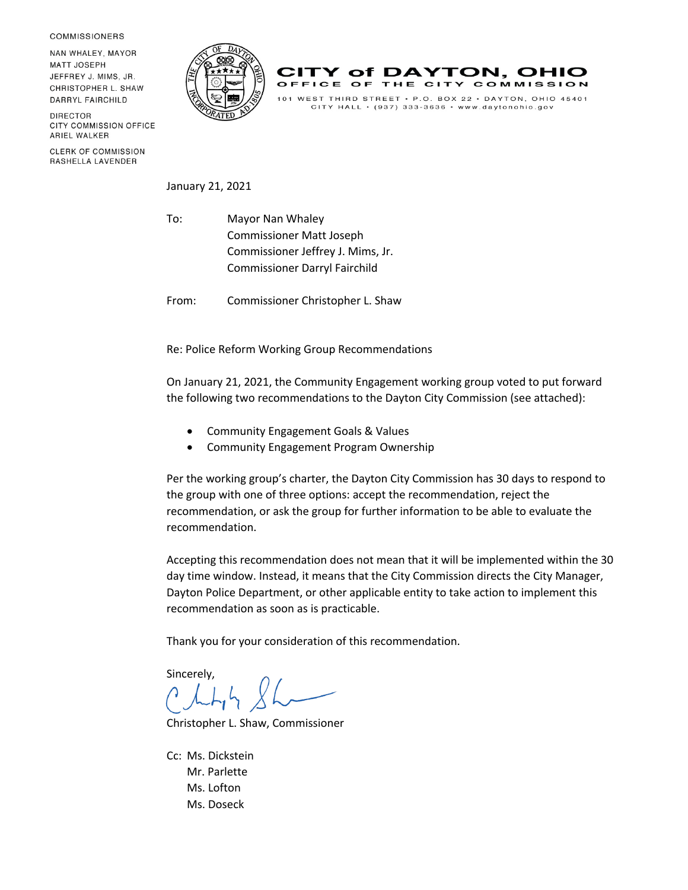**COMMISSIONERS** 

NAN WHALEY, MAYOR **MATT JOSEPH** JEFFREY J. MIMS, JR. CHRISTOPHER L. SHAW DARRYL FAIRCHILD

**DIRECTOR** CITY COMMISSION OFFICE ARIEL WALKER

CLERK OF COMMISSION RASHELLA LAVENDER





CITY HALL  $\cdot$  (937) 333-3636  $\cdot$  www.daytonohio.gov

January 21, 2021

To: Mayor Nan Whaley Commissioner Matt Joseph Commissioner Jeffrey J. Mims, Jr. Commissioner Darryl Fairchild

From: Commissioner Christopher L. Shaw

Re: Police Reform Working Group Recommendations

On January 21, 2021, the Community Engagement working group voted to put forward the following two recommendations to the Dayton City Commission (see attached):

- Community Engagement Goals & Values
- Community Engagement Program Ownership

Per the working group's charter, the Dayton City Commission has 30 days to respond to the group with one of three options: accept the recommendation, reject the recommendation, or ask the group for further information to be able to evaluate the recommendation.

Accepting this recommendation does not mean that it will be implemented within the 30 day time window. Instead, it means that the City Commission directs the City Manager, Dayton Police Department, or other applicable entity to take action to implement this recommendation as soon as is practicable.

Thank you for your consideration of this recommendation.

Sincerely,

Christopher L. Shaw, Commissioner

Cc: Ms. Dickstein Mr. Parlette Ms. Lofton Ms. Doseck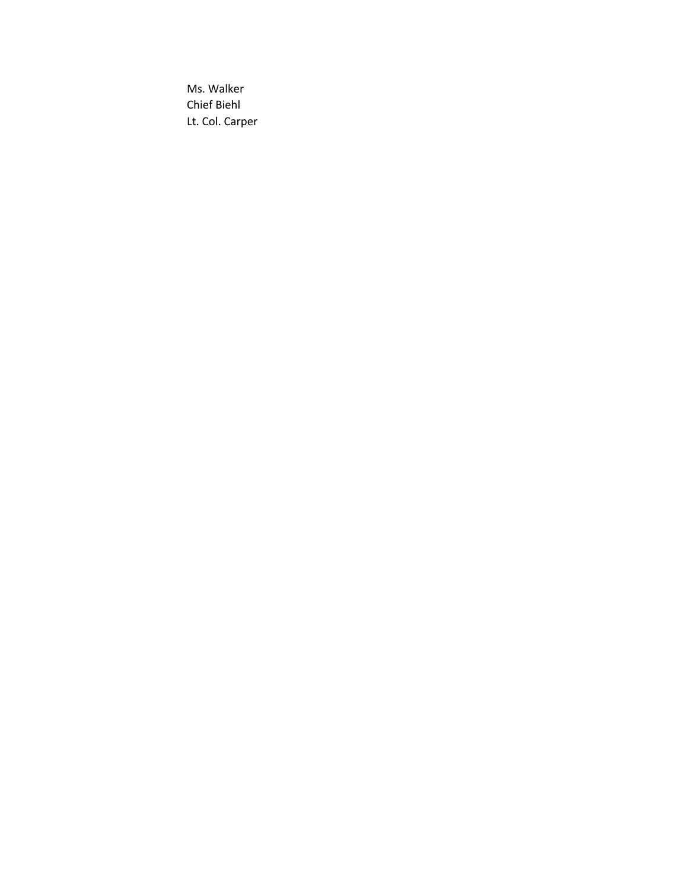Ms. Walker Chief Biehl Lt. Col. Carper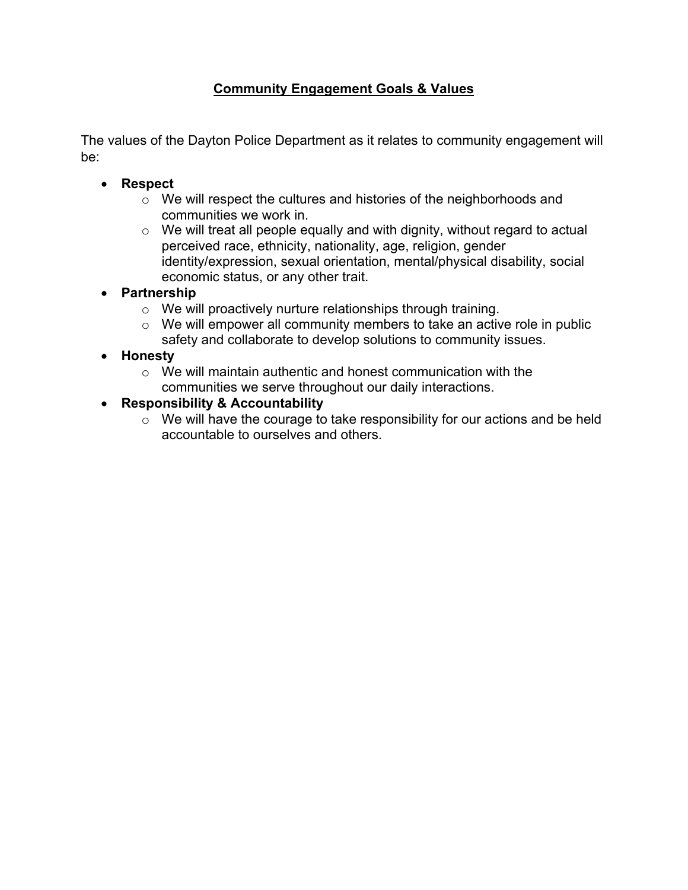## **Community Engagement Goals & Values**

The values of the Dayton Police Department as it relates to community engagement will be:

- **Respect**
	- o We will respect the cultures and histories of the neighborhoods and communities we work in.
	- $\circ$  We will treat all people equally and with dignity, without regard to actual perceived race, ethnicity, nationality, age, religion, gender identity/expression, sexual orientation, mental/physical disability, social economic status, or any other trait.
- **Partnership**
	- o We will proactively nurture relationships through training.
	- o We will empower all community members to take an active role in public safety and collaborate to develop solutions to community issues.

## • **Honesty**

o We will maintain authentic and honest communication with the communities we serve throughout our daily interactions.

## • **Responsibility & Accountability**

o We will have the courage to take responsibility for our actions and be held accountable to ourselves and others.